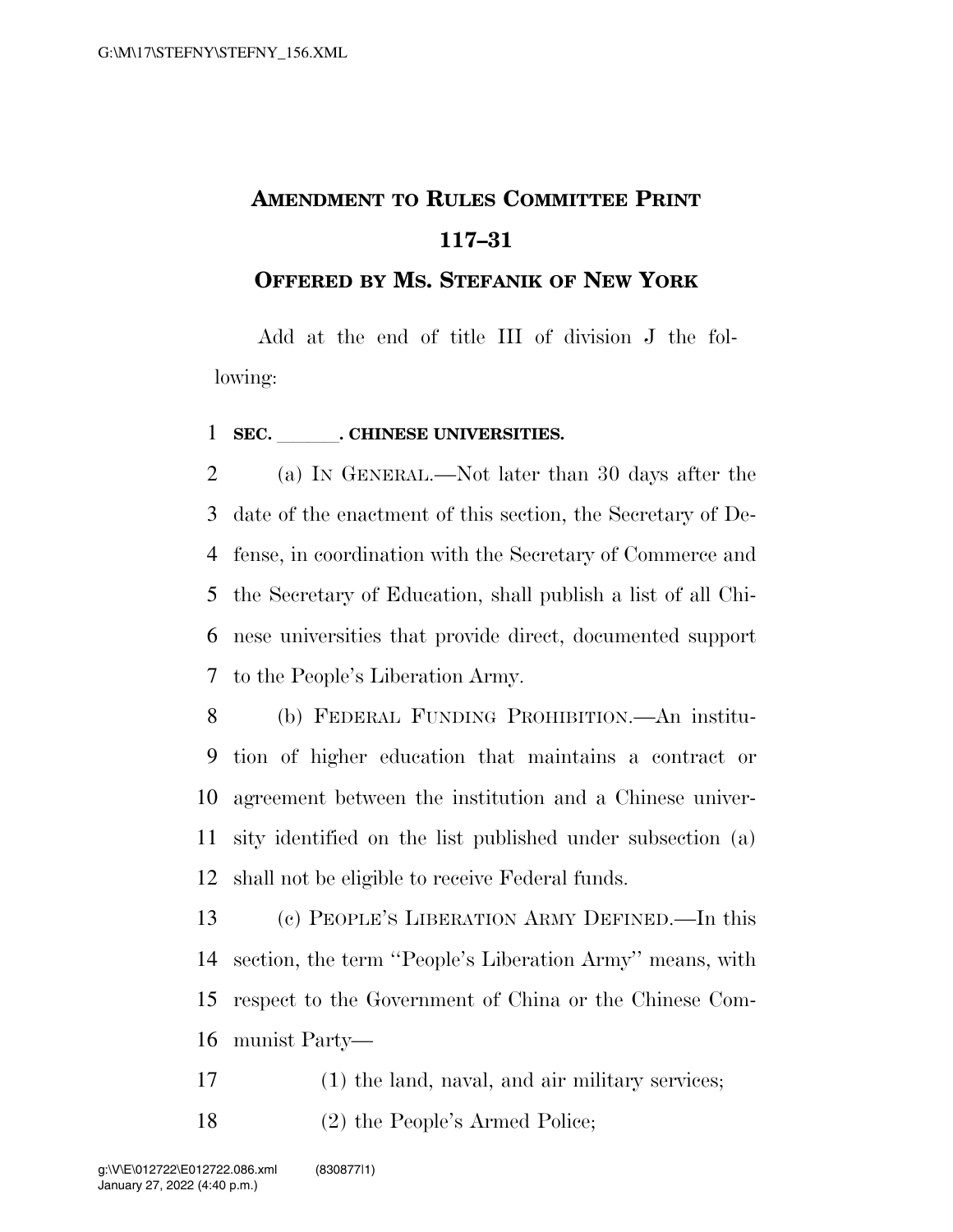## **AMENDMENT TO RULES COMMITTEE PRINT 117–31**

## **OFFERED BY MS. STEFANIK OF NEW YORK**

Add at the end of title III of division J the following:

## **SEC.** CHINESE UNIVERSITIES.

 (a) IN GENERAL.—Not later than 30 days after the date of the enactment of this section, the Secretary of De- fense, in coordination with the Secretary of Commerce and the Secretary of Education, shall publish a list of all Chi- nese universities that provide direct, documented support to the People's Liberation Army.

 (b) FEDERAL FUNDING PROHIBITION.—An institu- tion of higher education that maintains a contract or agreement between the institution and a Chinese univer- sity identified on the list published under subsection (a) shall not be eligible to receive Federal funds.

 (c) PEOPLE'S LIBERATION ARMY DEFINED.—In this section, the term ''People's Liberation Army'' means, with respect to the Government of China or the Chinese Com-munist Party—

 (1) the land, naval, and air military services; (2) the People's Armed Police;